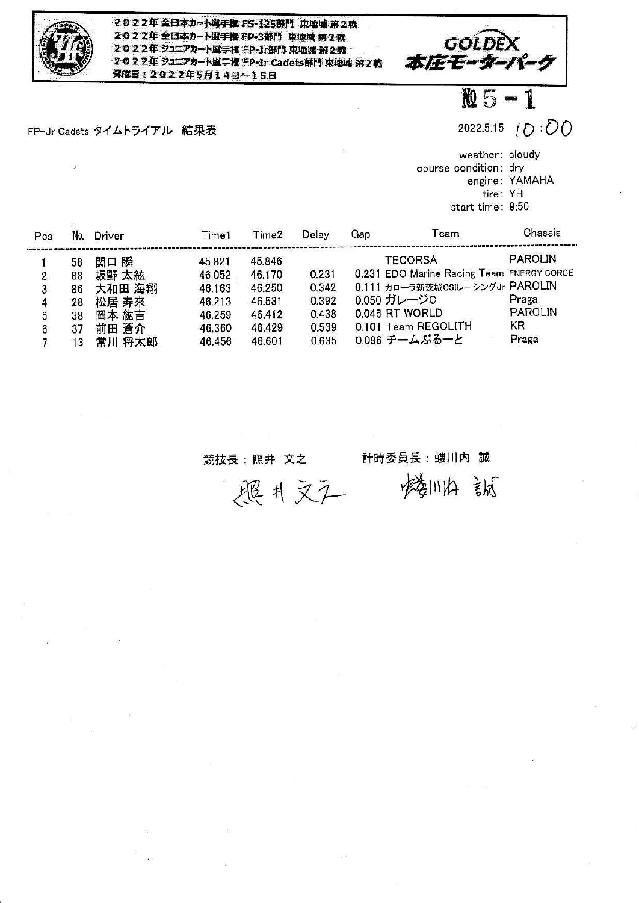

2022年全日本カート選手権 FS-125部門 東地域第2戦 2022年全日本カート選手権 FP-3部門 東地域第2務 2022年 ジュニアカート蛍手植 FP-Jr部門 東地域 第2数 2022年 シュニアカート選手権 FP-Jr Cadets部門 東堀城 第2戦 **開催日: 2022年5月14日~15日** 

FP-Jr Cadets タイムトライアル 結果表

GOLDE<br>-本庄モーター

2022.5.15  $(D : \overline{OO})$ 

 $M_{5 - 1}$ 

weather: cloudy course condition: dry engine: YAMAHA tire: YH start time: 9:50

| Pos | No. | Driver | Time1  | Time2  | Delay | Gap | Team                                      | Chassis        |
|-----|-----|--------|--------|--------|-------|-----|-------------------------------------------|----------------|
|     | 58  | 関口 瞬   | 45.821 | 45.846 |       |     | <b>TECORSA</b>                            | <b>PAROLIN</b> |
| 2   | 88  | 坂野 太絃  | 46.052 | 46.170 | 0.231 |     | 0.231 EDO Marine Racing Team ENERGY CORCE |                |
| 3   | 86  | 大和田 海翔 | 46.163 | 46.250 | 0.342 |     | 0.111 カローラ新茨城CSIレーシングJr PAROLIN           |                |
| 4   | 28  | 松居 寿來  | 46.213 | 46.531 | 0.392 |     | 0.050 ガレージC                               | Praga          |
| 5   | 38  | 岡本 紘吉  | 46.259 | 46.412 | 0.438 |     | 0.046 RT WORLD                            | <b>PAROLIN</b> |
| 6   | 37  | 前田 蒼介  | 46.360 | 46.429 | 0.539 |     | 0.101 Team REGOLITH                       | <b>KR</b>      |
|     | 13  | 常川 将太郎 | 46.456 | 46.601 | 0.635 |     | 0.096 チームぶるーと                             | Praga          |

競技長:照井 文之

計時委員長:螻川内 誠

楼川内部

题片文工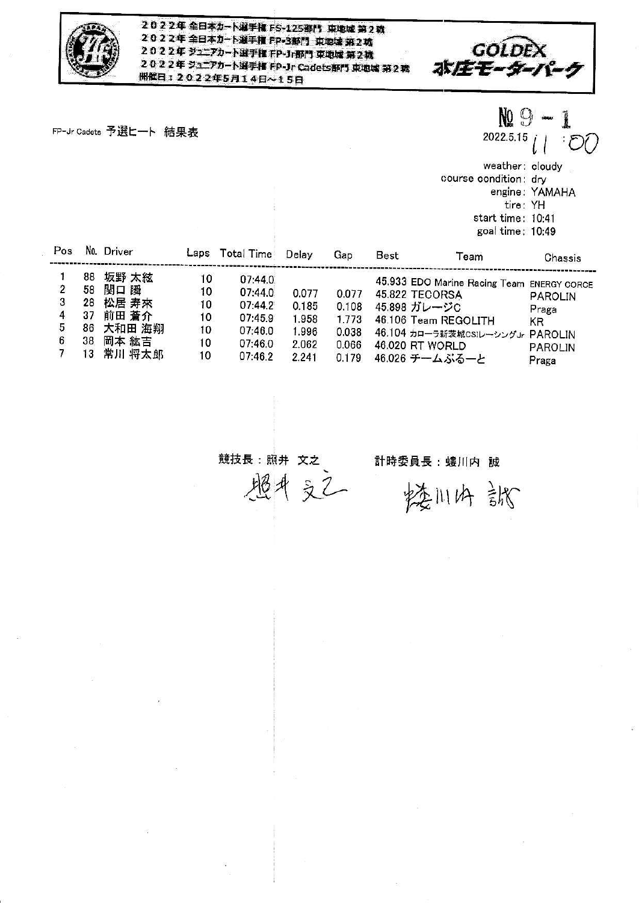

2022年全日本カート選手権 FS-125部門 東地域第2戦 2022年全日本カート選手権 FP-3部門 東地域第2戦 2022年 ジュニアカート選手権 FP-Jr部門 東地域 第2戦 2022年 ジュニアカート選手権 FP-Jr Cadets部門 東地域 第2載 **開催日: 2022年5月14日~15日** 

FP-Jr Cadets 予選ヒート 結果表

GOLDEX<br>ホバモモーダーパーク

NQ 9 

 $2022.5.15$  $\partial^2 G$ 

weather: cloudy course condition: dry engine: YAMAHA<br>tire: YH start time: 10:41 goal time: 10:49

| Pos |    | No. Driver | Laps | Total Time | Delay | Gap   | Best            | Team                                       | Chassis        |
|-----|----|------------|------|------------|-------|-------|-----------------|--------------------------------------------|----------------|
|     | 88 | 坂野 太絃      | 10   | 07:44.0    |       |       |                 | 45.933 EDO Marine Racing Team ENERGY CORCE |                |
|     | 58 | 関口 瞬       | 10   | 07:44.0    | 0.077 | 0.077 | 45.822 TECORSA  |                                            | <b>PAROLIN</b> |
|     | 28 | 松居 寿來      | 10   | 07:44.2    | 0.185 | 0.108 | 45.898 ガレージC    |                                            | Praga          |
|     |    | 前田 蒼介      | 10   | 07:45.9    | 1.958 | 1.773 |                 | 46.106 Team REGOLITH                       | KR             |
|     | 86 | 大和田 海翔     | 10   | 07:46.0    | 1.996 | 0.038 |                 | 46.104 カローラ新茨城CSIレーシングJr PAROLIN           |                |
|     | 38 | 岡本 紘吉      | 10   | 07:46.0    | 2.062 | 0.066 | 46.020 RT WORLD |                                            | PAROLIN        |
|     | 13 | 常川 将太郎     | 10   | 07:46.2    | 2.241 | 0.179 |                 | 46.026 チームぶるーと                             | Praga          |

競技長:照井 文之

埋井文乙

計時委員長:螻川内 誠

楼川内 訛